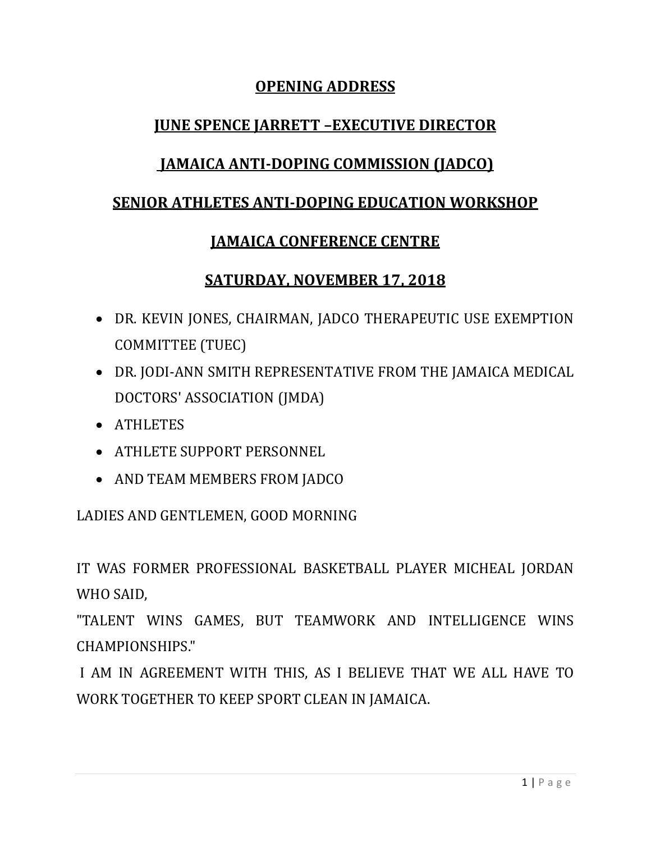# **OPENING ADDRESS**

# **JUNE SPENCE JARRETT –EXECUTIVE DIRECTOR**

# **JAMAICA ANTI-DOPING COMMISSION (JADCO)**

### **SENIOR ATHLETES ANTI-DOPING EDUCATION WORKSHOP**

### **JAMAICA CONFERENCE CENTRE**

### **SATURDAY, NOVEMBER 17, 2018**

- DR. KEVIN JONES, CHAIRMAN, JADCO THERAPEUTIC USE EXEMPTION COMMITTEE (TUEC)
- DR. JODI-ANN SMITH REPRESENTATIVE FROM THE JAMAICA MEDICAL DOCTORS' ASSOCIATION (JMDA)
- ATHLETES
- ATHLETE SUPPORT PERSONNEL
- AND TEAM MEMBERS FROM JADCO

### LADIES AND GENTLEMEN, GOOD MORNING

IT WAS FORMER PROFESSIONAL BASKETBALL PLAYER MICHEAL JORDAN WHO SAID,

"TALENT WINS GAMES, BUT TEAMWORK AND INTELLIGENCE WINS CHAMPIONSHIPS."

I AM IN AGREEMENT WITH THIS, AS I BELIEVE THAT WE ALL HAVE TO WORK TOGETHER TO KEEP SPORT CLEAN IN JAMAICA.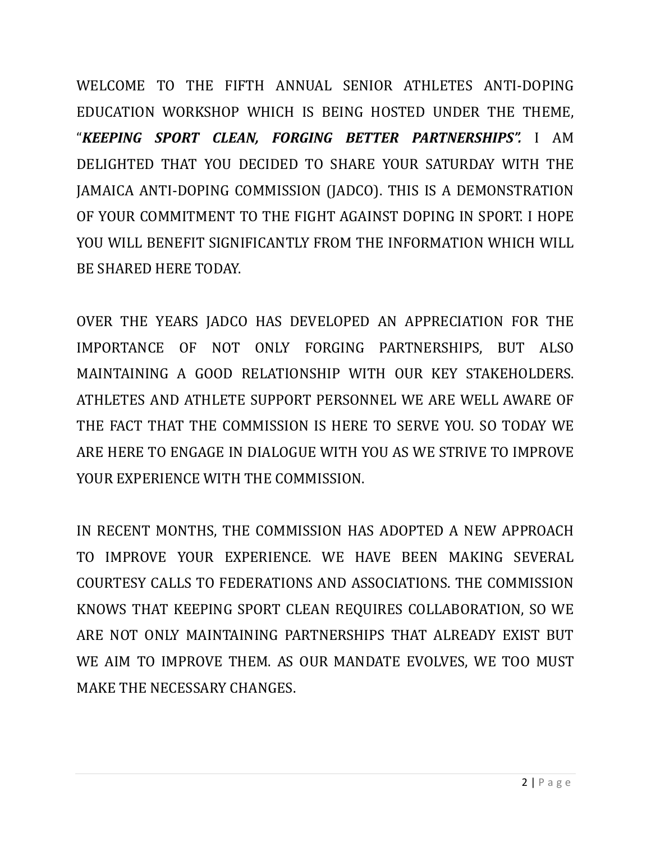WELCOME TO THE FIFTH ANNUAL SENIOR ATHLETES ANTI-DOPING EDUCATION WORKSHOP WHICH IS BEING HOSTED UNDER THE THEME, "*KEEPING SPORT CLEAN, FORGING BETTER PARTNERSHIPS".* I AM DELIGHTED THAT YOU DECIDED TO SHARE YOUR SATURDAY WITH THE JAMAICA ANTI-DOPING COMMISSION (JADCO). THIS IS A DEMONSTRATION OF YOUR COMMITMENT TO THE FIGHT AGAINST DOPING IN SPORT. I HOPE YOU WILL BENEFIT SIGNIFICANTLY FROM THE INFORMATION WHICH WILL BE SHARED HERE TODAY.

OVER THE YEARS JADCO HAS DEVELOPED AN APPRECIATION FOR THE IMPORTANCE OF NOT ONLY FORGING PARTNERSHIPS, BUT ALSO MAINTAINING A GOOD RELATIONSHIP WITH OUR KEY STAKEHOLDERS. ATHLETES AND ATHLETE SUPPORT PERSONNEL WE ARE WELL AWARE OF THE FACT THAT THE COMMISSION IS HERE TO SERVE YOU. SO TODAY WE ARE HERE TO ENGAGE IN DIALOGUE WITH YOU AS WE STRIVE TO IMPROVE YOUR EXPERIENCE WITH THE COMMISSION.

IN RECENT MONTHS, THE COMMISSION HAS ADOPTED A NEW APPROACH TO IMPROVE YOUR EXPERIENCE. WE HAVE BEEN MAKING SEVERAL COURTESY CALLS TO FEDERATIONS AND ASSOCIATIONS. THE COMMISSION KNOWS THAT KEEPING SPORT CLEAN REQUIRES COLLABORATION, SO WE ARE NOT ONLY MAINTAINING PARTNERSHIPS THAT ALREADY EXIST BUT WE AIM TO IMPROVE THEM. AS OUR MANDATE EVOLVES, WE TOO MUST MAKE THE NECESSARY CHANGES.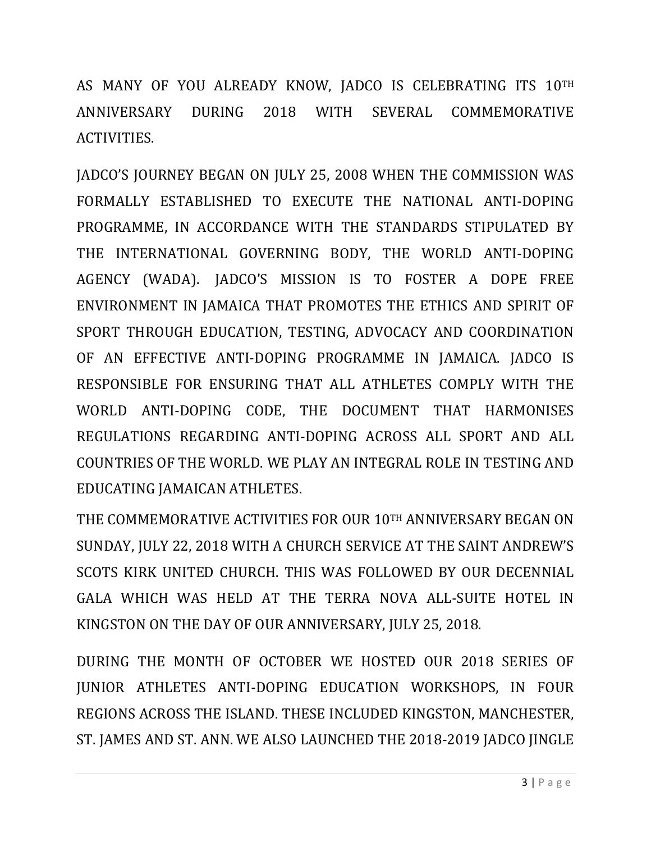AS MANY OF YOU ALREADY KNOW, JADCO IS CELEBRATING ITS 10TH ANNIVERSARY DURING 2018 WITH SEVERAL COMMEMORATIVE ACTIVITIES.

JADCO'S JOURNEY BEGAN ON JULY 25, 2008 WHEN THE COMMISSION WAS FORMALLY ESTABLISHED TO EXECUTE THE NATIONAL ANTI-DOPING PROGRAMME, IN ACCORDANCE WITH THE STANDARDS STIPULATED BY THE INTERNATIONAL GOVERNING BODY, THE WORLD ANTI-DOPING AGENCY (WADA). JADCO'S MISSION IS TO FOSTER A DOPE FREE ENVIRONMENT IN JAMAICA THAT PROMOTES THE ETHICS AND SPIRIT OF SPORT THROUGH EDUCATION, TESTING, ADVOCACY AND COORDINATION OF AN EFFECTIVE ANTI-DOPING PROGRAMME IN JAMAICA. JADCO IS RESPONSIBLE FOR ENSURING THAT ALL ATHLETES COMPLY WITH THE WORLD ANTI-DOPING CODE, THE DOCUMENT THAT HARMONISES REGULATIONS REGARDING ANTI-DOPING ACROSS ALL SPORT AND ALL COUNTRIES OF THE WORLD. WE PLAY AN INTEGRAL ROLE IN TESTING AND EDUCATING JAMAICAN ATHLETES.

THE COMMEMORATIVE ACTIVITIES FOR OUR 10TH ANNIVERSARY BEGAN ON SUNDAY, JULY 22, 2018 WITH A CHURCH SERVICE AT THE SAINT ANDREW'S SCOTS KIRK UNITED CHURCH. THIS WAS FOLLOWED BY OUR DECENNIAL GALA WHICH WAS HELD AT THE TERRA NOVA ALL-SUITE HOTEL IN KINGSTON ON THE DAY OF OUR ANNIVERSARY, JULY 25, 2018.

DURING THE MONTH OF OCTOBER WE HOSTED OUR 2018 SERIES OF JUNIOR ATHLETES ANTI-DOPING EDUCATION WORKSHOPS, IN FOUR REGIONS ACROSS THE ISLAND. THESE INCLUDED KINGSTON, MANCHESTER, ST. JAMES AND ST. ANN. WE ALSO LAUNCHED THE 2018-2019 JADCO JINGLE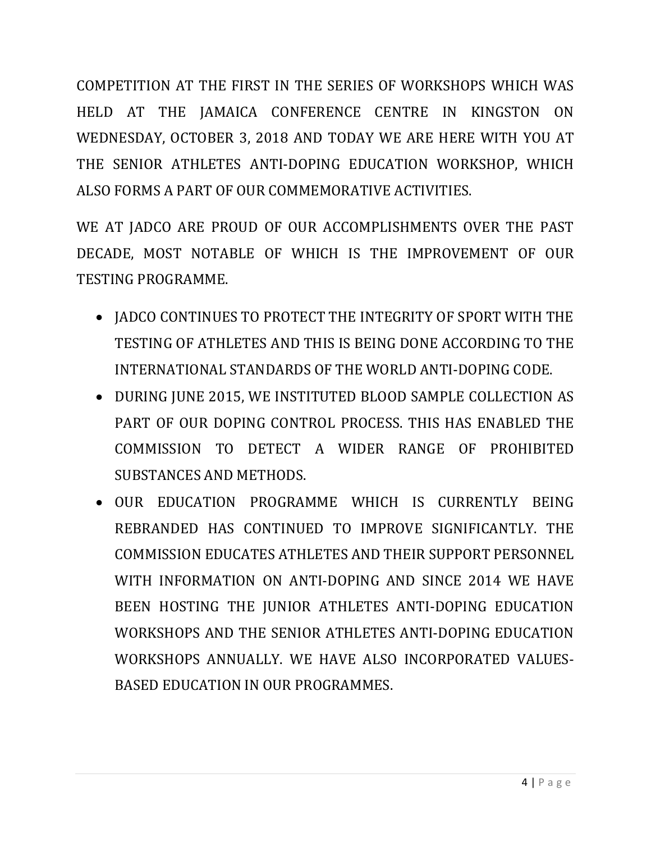COMPETITION AT THE FIRST IN THE SERIES OF WORKSHOPS WHICH WAS HELD AT THE JAMAICA CONFERENCE CENTRE IN KINGSTON ON WEDNESDAY, OCTOBER 3, 2018 AND TODAY WE ARE HERE WITH YOU AT THE SENIOR ATHLETES ANTI-DOPING EDUCATION WORKSHOP, WHICH ALSO FORMS A PART OF OUR COMMEMORATIVE ACTIVITIES.

WE AT JADCO ARE PROUD OF OUR ACCOMPLISHMENTS OVER THE PAST DECADE, MOST NOTABLE OF WHICH IS THE IMPROVEMENT OF OUR TESTING PROGRAMME.

- JADCO CONTINUES TO PROTECT THE INTEGRITY OF SPORT WITH THE TESTING OF ATHLETES AND THIS IS BEING DONE ACCORDING TO THE INTERNATIONAL STANDARDS OF THE WORLD ANTI-DOPING CODE.
- DURING JUNE 2015, WE INSTITUTED BLOOD SAMPLE COLLECTION AS PART OF OUR DOPING CONTROL PROCESS. THIS HAS ENABLED THE COMMISSION TO DETECT A WIDER RANGE OF PROHIBITED SUBSTANCES AND METHODS.
- OUR EDUCATION PROGRAMME WHICH IS CURRENTLY BEING REBRANDED HAS CONTINUED TO IMPROVE SIGNIFICANTLY. THE COMMISSION EDUCATES ATHLETES AND THEIR SUPPORT PERSONNEL WITH INFORMATION ON ANTI-DOPING AND SINCE 2014 WE HAVE BEEN HOSTING THE JUNIOR ATHLETES ANTI-DOPING EDUCATION WORKSHOPS AND THE SENIOR ATHLETES ANTI-DOPING EDUCATION WORKSHOPS ANNUALLY. WE HAVE ALSO INCORPORATED VALUES-BASED EDUCATION IN OUR PROGRAMMES.